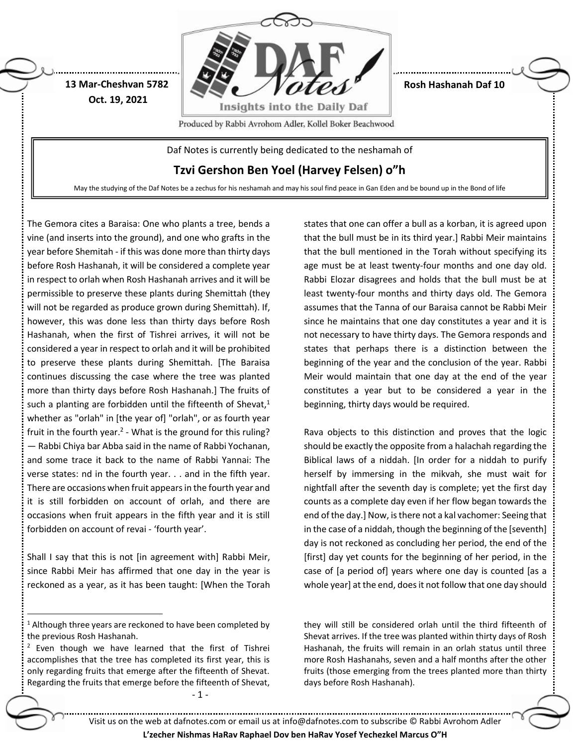

**Rosh Hashanah Daf 10**

Produced by Rabbi Avrohom Adler, Kollel Boker Beachwood

Daf Notes is currently being dedicated to the neshamah of

**Tzvi Gershon Ben Yoel (Harvey Felsen) o"h**

May the studying of the Daf Notes be a zechus for his neshamah and may his soul find peace in Gan Eden and be bound up in the Bond of life

The Gemora cites a Baraisa: One who plants a tree, bends a vine (and inserts into the ground), and one who grafts in the year before Shemitah - if this was done more than thirty days before Rosh Hashanah, it will be considered a complete year in respect to orlah when Rosh Hashanah arrives and it will be permissible to preserve these plants during Shemittah (they will not be regarded as produce grown during Shemittah). If, however, this was done less than thirty days before Rosh Hashanah, when the first of Tishrei arrives, it will not be considered a year in respect to orlah and it will be prohibited to preserve these plants during Shemittah. [The Baraisa continues discussing the case where the tree was planted more than thirty days before Rosh Hashanah.] The fruits of such a planting are forbidden until the fifteenth of Shevat, $1$ whether as "orlah" in [the year of] "orlah", or as fourth year fruit in the fourth year.<sup>2</sup> - What is the ground for this ruling? — Rabbi Chiya bar Abba said in the name of Rabbi Yochanan, and some trace it back to the name of Rabbi Yannai: The verse states: nd in the fourth year. . . and in the fifth year. There are occasions when fruit appears in the fourth year and it is still forbidden on account of orlah, and there are occasions when fruit appears in the fifth year and it is still forbidden on account of revai - 'fourth year'.

**13 Mar-Cheshvan 5782 Oct. 19, 2021**

Shall I say that this is not [in agreement with] Rabbi Meir, since Rabbi Meir has affirmed that one day in the year is reckoned as a year, as it has been taught: [When the Torah

 $\overline{a}$ 

- 1 -

states that one can offer a bull as a korban, it is agreed upon that the bull must be in its third year.] Rabbi Meir maintains that the bull mentioned in the Torah without specifying its age must be at least twenty-four months and one day old. Rabbi Elozar disagrees and holds that the bull must be at least twenty-four months and thirty days old. The Gemora assumes that the Tanna of our Baraisa cannot be Rabbi Meir since he maintains that one day constitutes a year and it is not necessary to have thirty days. The Gemora responds and states that perhaps there is a distinction between the beginning of the year and the conclusion of the year. Rabbi Meir would maintain that one day at the end of the year constitutes a year but to be considered a year in the beginning, thirty days would be required.

Rava objects to this distinction and proves that the logic should be exactly the opposite from a halachah regarding the Biblical laws of a niddah. [In order for a niddah to purify herself by immersing in the mikvah, she must wait for nightfall after the seventh day is complete; yet the first day counts as a complete day even if her flow began towards the end of the day.] Now, is there not a kal vachomer: Seeing that in the case of a niddah, though the beginning of the [seventh] day is not reckoned as concluding her period, the end of the [first] day yet counts for the beginning of her period, in the case of [a period of] years where one day is counted [as a whole year] at the end, does it not follow that one day should

they will still be considered orlah until the third fifteenth of Shevat arrives. If the tree was planted within thirty days of Rosh Hashanah, the fruits will remain in an orlah status until three more Rosh Hashanahs, seven and a half months after the other fruits (those emerging from the trees planted more than thirty days before Rosh Hashanah).

Visit us on the web at dafnotes.com or email us at [info@dafnotes.com](mailto:info@dafnotes.com) to subscribe © Rabbi Avrohom Adler

**L'zecher Nishmas HaRav Raphael Dov ben HaRav Yosef Yechezkel Marcus O"H**

 $1$  Although three years are reckoned to have been completed by the previous Rosh Hashanah.

 $2$  Even though we have learned that the first of Tishrei accomplishes that the tree has completed its first year, this is only regarding fruits that emerge after the fifteenth of Shevat. Regarding the fruits that emerge before the fifteenth of Shevat,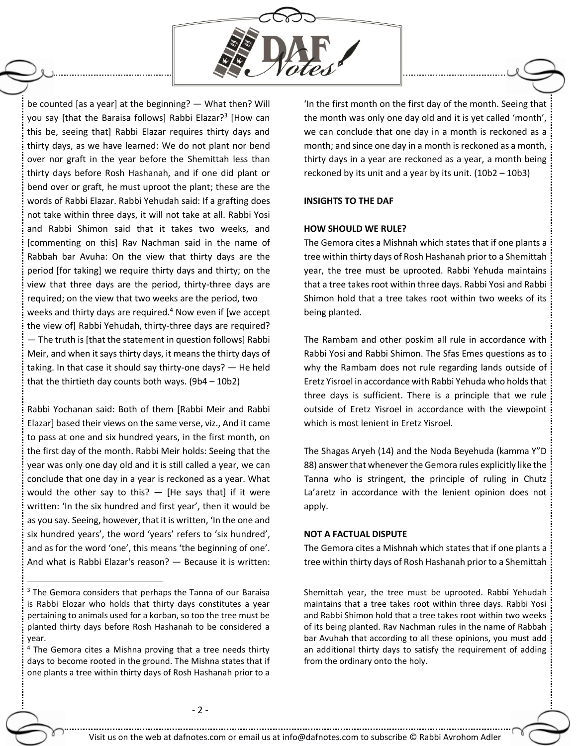

be counted [as a year] at the beginning? — What then? Will you say [that the Baraisa follows] Rabbi Elazar?<sup>3</sup> [How can this be, seeing that] Rabbi Elazar requires thirty days and thirty days, as we have learned: We do not plant nor bend over nor graft in the year before the Shemittah less than thirty days before Rosh Hashanah, and if one did plant or bend over or graft, he must uproot the plant; these are the words of Rabbi Elazar. Rabbi Yehudah said: If a grafting does not take within three days, it will not take at all. Rabbi Yosi and Rabbi Shimon said that it takes two weeks, and [commenting on this] Rav Nachman said in the name of Rabbah bar Avuha: On the view that thirty days are the period [for taking] we require thirty days and thirty; on the view that three days are the period, thirty-three days are required; on the view that two weeks are the period, two weeks and thirty days are required.<sup>4</sup> Now even if [we accept] the view of] Rabbi Yehudah, thirty-three days are required? — The truth is [that the statement in question follows] Rabbi Meir, and when it says thirty days, it means the thirty days of taking. In that case it should say thirty-one days? — He held that the thirtieth day counts both ways. (9b4 – 10b2)

Rabbi Yochanan said: Both of them [Rabbi Meir and Rabbi Elazar] based their views on the same verse, viz., And it came to pass at one and six hundred years, in the first month, on the first day of the month. Rabbi Meir holds: Seeing that the year was only one day old and it is still called a year, we can conclude that one day in a year is reckoned as a year. What would the other say to this?  $-$  [He says that] if it were written: 'In the six hundred and first year', then it would be as you say. Seeing, however, that it is written, 'In the one and six hundred years', the word 'years' refers to 'six hundred', and as for the word 'one', this means 'the beginning of one'. And what is Rabbi Elazar's reason? — Because it is written:

 $\ddot{\phantom{a}}$ 

'In the first month on the first day of the month. Seeing that the month was only one day old and it is yet called 'month', we can conclude that one day in a month is reckoned as a month; and since one day in a month is reckoned as a month, thirty days in a year are reckoned as a year, a month being reckoned by its unit and a year by its unit. (10b2 – 10b3)

### **INSIGHTS TO THE DAF**

## **HOW SHOULD WE RULE?**

The Gemora cites a Mishnah which states that if one plants a tree within thirty days of Rosh Hashanah prior to a Shemittah year, the tree must be uprooted. Rabbi Yehuda maintains that a tree takes root within three days. Rabbi Yosi and Rabbi Shimon hold that a tree takes root within two weeks of its being planted.

The Rambam and other poskim all rule in accordance with Rabbi Yosi and Rabbi Shimon. The Sfas Emes questions as to why the Rambam does not rule regarding lands outside of Eretz Yisroel in accordance with Rabbi Yehuda who holds that three days is sufficient. There is a principle that we rule outside of Eretz Yisroel in accordance with the viewpoint which is most lenient in Eretz Yisroel.

The Shagas Aryeh (14) and the Noda Beyehuda (kamma Y"D 88) answer that whenever the Gemora rules explicitly like the Tanna who is stringent, the principle of ruling in Chutz La'aretz in accordance with the lenient opinion does not apply.

#### **NOT A FACTUAL DISPUTE**

The Gemora cites a Mishnah which states that if one plants a tree within thirty days of Rosh Hashanah prior to a Shemittah

Shemittah year, the tree must be uprooted. Rabbi Yehudah maintains that a tree takes root within three days. Rabbi Yosi and Rabbi Shimon hold that a tree takes root within two weeks of its being planted. Rav Nachman rules in the name of Rabbah bar Avuhah that according to all these opinions, you must add an additional thirty days to satisfy the requirement of adding from the ordinary onto the holy.

<sup>&</sup>lt;sup>3</sup> The Gemora considers that perhaps the Tanna of our Baraisa is Rabbi Elozar who holds that thirty days constitutes a year pertaining to animals used for a korban, so too the tree must be planted thirty days before Rosh Hashanah to be considered a year.

 $4$  The Gemora cites a Mishna proving that a tree needs thirty days to become rooted in the ground. The Mishna states that if one plants a tree within thirty days of Rosh Hashanah prior to a